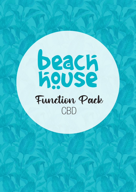# **beach**<br>Redse Function Pack CBD

**facebook.com/BeachHousecbd**

 $f(x) = \sum_{i=1}^n f(x_i)$ 

facebook.com/BeachHouseGC **functions.cbd@hotelbeachhouse.com.au**

 $\tau$  , and  $\tau$  and  $\tau$  and  $\tau$  and  $\tau$  and  $\tau$  and  $\tau$ 

**www.beach** 

functions.get in the community of the community of the community of the community of the community of the community of the community of the community of the community of the community of the community of the community of t

 $+0.828$  3420  $-0.71$  www.beach.com

 $\#N$  and  $\#N$  and  $\#N$  and  $\#N$  are  $\#N$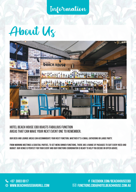Information





## **Hotel Beach House cbd boasts fabulous function areas that can make your next event one to remember.**

Our deck and lounge areas can accommodate your next function, whether it's a small gathering or large party.

From morning meetings & cocktail parties, to set menu dinner functions, there are a range of packages to suit every need and budget. Our venue is perfect for your event and our functions coordinator is ready to help you decide or offer advice.

**+07 3003 0017** www.beachion.com **www.beachhousebargrill.com** +07 3420 0711 www.beachhousebargrill.com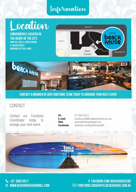# Information Information

# **Deation**

**Conveniently located in the heart of the city.**  shop 58, level e, myer centre 91 queen street

brisbane city qld, 4000





**Contact a member of our functions team today to arrange your next event.** 

## **CONTACT**

Contact our Functions Coordinator today to arrange your next event.

| Ph.       |
|-----------|
| E-mail.   |
| Web.      |
| Facebook. |

07 3003 0017 functions.cbd@hotelbeachhouse.com.au www.beachhousebargrill.com Facebook. facebook.com/BeachHouseCBD

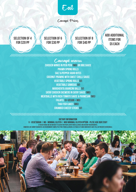# Eat

Canapé Prices

**Selection of 4 for \$20 pp**

,,,,,,,,,,,,,,,,,,,,



**Selection of 8 for \$40 pp**

*anananana* 

**Add additional items for \$5 each**

Canapé menu **Chicken Wings in Peri Peri (MG) or bbq sauce Prawn Spring Rolls Salt & Pepper Squid Bites Coconut Prawns with Sweet Chilli Sauce Vegetable Spring Rolls (v) Vegetable Samosas (v) Margherita Arancini Balls (V) Satay Chicken Skewers in Satay Sauce (MG) Meatballs with Rich Tomato Sauce & Parmesan (MG) Falafel (V+Vegan + mg) Thai Fish Cakes (MG) Crumbed Cheesy Sticks (v)**

**dietary information V - Vegetarian | MG - minimal gluten | MGO minimal gluten option - plese ask our staff At beach house we do our best to cater for people with food allergies and dietary requirements.** HOWEVER, WE CANNOT GUARANTEE AN ENVIRONMENT COMPLETELY FREE FROM ALLERGENS, SO TR

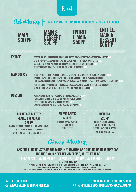Eat

# Set Menus |**25-120 persons Alternate Drop (choose 2 items per course)**









**Entrée** Caesar salad - Cos Lettuce, Croutons, Bacon, Ceasar Dressing & Parmesan Cheese (MGo) Salt & Pepper Calamari served with Lemon Wedges & Garlic Aioli Sauce (MG) Margherita Arancini Balls with Mozzerella & a Rich Napoli Sauce (V) Crispy Chicken Wings with BBQ Sauce & Ranch Dressing (MG)

#### **MAIN COURSE** 2006 EYE FILLET WITH MASHED POTATOES, SEASONAL VEGETABLES & MUSHROOM SAUCE (MGO) Gnocchi Napolitana - Rich Napolitana Sauce & Fresh Grated Parmesan Cheese (V) Life Saver Chicken - Grilled Chicken, Half Avocado, Mustard cream Sauce, Garden Salad & Chips (MGo) Fish 'N' Chips - Freshly Battered Hake, Coleslaw, Chips, Lemon Wedge & Tartare Sauce Char Grilled Salmon - Basil Pesto, Smashed Potato & Broccoli (MG)

#### **DESSERT** HOME MADE STICKY DATE PUDDING WITH CARAMEL SAUCE (MG+V) Home Baked Chocolate Brownie with Chocolate Sauce (v) Fresh Fruit Salad with Whipped Cream (MG+V) Home Made Apple Crumble with Vanilla Ice Cream (v)

### **BREAKFAST BUFFET/ plated breakfast \$20 pp**

Bacon, Scrambled Eggs, Beans, Mushrooms, Toast with Museli, Fresh Fruit with Tea & Coffee & Choice of Juices

#### **Muffin Break \$18 pp** Freshly Baked Muffins served with Tea & Coffee

#### **High Tea \$25 pp**

Freshly Baked Muffins & a Selection of Cakes WITH A SANDWICH PLATTER WITH TEA AND COFFEE

# Group Meetings

## **Ask our functions team for more information and pricing on how they can arrange your next team meeting, whether it be**

**Breakfast | Morning Tea | Lunch | Afternoon Tea | Dinner | Drinks**

**dietary information**

**V - Vegetarian | MG - minimal gluten | MGO minimal gluten option - plese ask our staff At beach house we do our best to cater for people with food allergies and dietary requirements.**

**However, we cannot guarantee an environment completely free from allergens, so traces of some ingredients may still be present in our meals.**

**facebook.com/BeachHouseCBD** facebook.com/BeachHouseGC **functions.cbd@hotelbeachhouse.com.au** functions.gc@hotelbeachhouse.com.au

**+07 3003 0017** www.beachion.com **www.beachhousebargrill.com** +07 3420 0711 www.beachhousebargrill.com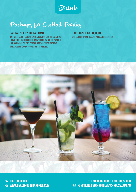Drink

# Packages for Cocktail Parties

#### **Bar Tab Set by Dollar Limit**

Bar Tab is set by Dollar Limit and is not limited by a time frame. The function holder may decide what they would like available on this type of bar tab. The functions manager can offer suggestions if needed.

**Bar Tab Set by Product** Bar Tab set by particular products selected.



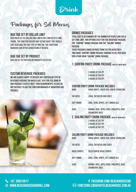# Drink

# Packages for Set Menus

## **Bar Tab Set by Dollar Limit**

Bar Tab is set by Dollar Limit and is not limited by a time frame. The function holder may decide what they would like available on this type of bar tab. The functions manager can offer suggestions if needed.

#### **BAR TAB SET BY PRODUCT**

Bar Tab set by particular products selected.

#### **Drinks Packages**

Total cost is determined by the number of people and has a set time limit. Two options exist for this beverage package: the "Surfing" drinks package and the "Sailing" drinks package.

These packages range in price from \$33 per head for a two-hour "Surfing" drink package through to \$61 per head for a four-hour "Sailing" drink package.

## **1. SURFING PARTY DRINK PACKAGE (WITH SET MENU ONLY)**

**Custom Beverage Packages**

We are always happy to discuss any particular type of beverage package you would like, so if you feel none of our packages exactly meet your requirements, please do not hesitate to ask the Function Manager if variations are possible.

2 HOURS AT \$33 PP 3 HOURS AT \$44 PP 4 HOURS AT \$54 PP

#### **Surfing Party Drink Package includes:**

| WINF <sup>.</sup>  | HOUSE WHITE, HOUSE RED, HOUSE SPARKLING                                                                                      |
|--------------------|------------------------------------------------------------------------------------------------------------------------------|
| <b>TAP BEER:</b>   | <b>LOCAL TAP BEERS AND CIDER</b>                                                                                             |
| <b>SOFT DRINK:</b> | COKE, ZERO, SPRITE, LIFT, GINGER ALE                                                                                         |
| <b>JUICE:</b>      | ORANGE JUICE, APPLE JUICE, PINEAPPLE JUICE<br><b>CRANBERRY JUICE</b>                                                         |
|                    | 2. SAILING PARTY DRINK PACKAGE (WITH SET MENU ONLY)<br>2 HOURS AT \$41 PP<br>3 HOURS AT \$51 PP<br><b>4 HOURS AT \$61 PP</b> |
| WINF <sup>.</sup>  | <b>SAILING PARTY DRINK PACKAGE INCLUDES:</b><br><b>HOUSE WHITE, HOUSE RED, HOUSE SPARKLING</b>                               |

| <b>TAP BEER:</b>      | <b>LOCAL TAP BEERS AND CIDER</b>                                      |
|-----------------------|-----------------------------------------------------------------------|
| <b>BASIC SPIRITS:</b> | <b>SELECTION OF BASIC SPIRITS</b>                                     |
| <b>SOFT DRINK:</b>    | COKE, ZERO, SPRITE, LIFT, GINGER ALE                                  |
| <b>JUICE:</b>         | ORANGE JUICE, APPLE JUICE, PINEAPPLE JUICE,<br><b>CRANBERRY JUICE</b> |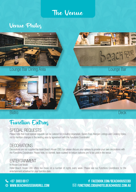The Venue

# Venue Photos



## Lounge Bar Dining Area



**Bistro** 

# Function Extras

## SPECIAL REQUESTS

Please note that most special requests can be catered for including Vegetarian, Gluten Free, Allergen Listings and Cooking Styles, not to mention changes in the seating area by agreement with the Functions Coordinator.

## **DECORATIONS**

Decorations are not supplied by Hotel Beach House CBD, but please discuss your options to provide your own decorations with the Functions Coordinator. Please note, no confetti, table scatters or helium balloons are to be used in the venue.

## ENTERTAINMENT

In House Live Music Hotel Beach House CBD offers live music on a number of nights every week. Please see our Functions Coordinator for the entertainment schedual for your function date.

## **+07 3003 0017** www.beachion.com **www.beachhousebargrill.com** +07 3420 0711 www.beachhousebargrill.com





**Deck**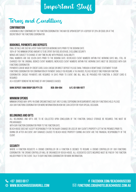# Important Stuff

# Terms and Conditions

#### **Confirmation**

A booking is only confirmed by the Function Coordinator. This may be upon receipt of a deposit of 20% or \$500, or at the discretion of the Functions Coordinator.

#### **Bookings, Payments and Deposits**

Final details are due no later than fourteen working days prior to the booking date.

100% of the minimum spend amount is to be spent on food, beverage, excluding security.

Menus are subject to change at any time in line with produce availability.

Final numbers are due seven days prior to the booking date. Decreased event numbers within five working days will still be charged for the original booked event numbers. Increased event numbers within five working days must be discussed with our Functions Coordinator.

Payments can be made by credit card, cash, cheque or direct deposit. Please email through a remittance statement to our Functions Coordinator for confirmation of payment. Should you require a tax invoice, please request one from our Function Coordinator. Cheque payments are required 14 days prior to event. One bill will be provided per function. A credit card is required

as a security bond in the instance of any damages caused.

**Bank Deposit: Raw Group CBD Pty Ltd BSB: 084-004 A/C: 83-586-5977**

#### **Minimum Spends**

Minimum spends may apply in some circumstances but are flexible depending on requirements and day function is held. Please ask our Functions Coordinator for more information on how we can cater for your special occasion.

#### **Belongings and Gifts**

All belongings and gifts are to be collected upon conclusion of the function. Should storage be required, this must be **PREARRANGED** 

with our Function Coordinator prior to the function date.

Beach House does not accept responsibility for the injury, damage or loss of any client's property left in the premises prior to, during or after an event. Any damages caused to Beach House property during an event are the financial responsibility of the client.

#### **Security**

WHERE A FUNCTION REQUESTS A CROWD CONTROLLER OR A FUNCTION IS DEEMED TO REQUIRE A CROWD CONTROLLER BY OUR FUNCTIONS Coordinator, the crowd controller will be organised by Beach House. All associated costs incurred must be paid by the function holder prior to the event. Talk to our Functions Coordinator for more information.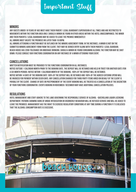# Important Stuff

## **Minors**

Any guests under 18 years of age must have their parent/ legal guardian's supervision at all times and are restricted to movements within the function area only. Should a minor be found in other areas within the hotel unaccompanied, the minor and their parents/ legal guardians may be asked to leave the premise immediately.

All minors must vacate the premises no later than 10:00pm.

All minors attending a function must be outlined on the Minors Agreement form. In the instance, a minor is not on the submitted Minors Agreement form from the client, they may be denied entry along with their parents/ legal guardian. Beach House has zero-tolerance on underage drinking. Should a minor be found consuming alcohol the function may be shut down. Please consult our Functions Coordinator on any instance of a minor attending your event.

#### **Cancellations**

Written notification must be provided to the Functions Coordinator in all instances.

Notice outside 1 calendar month prior to the booking date, the deposit will be retained and held in trust for another date (for a six month period). Notice within 1 calendar month of the booking, 100% of the deposit will be retained. Notice within 14 days of the booking date 100% of the deposit will be retained and 100% of the agreed catering spend will be invoiced for payment within seven days. Any cancellation charged for third party items hired on behalf of the client is payable by the client. Change of date or postponement of the event booking will be treated as a cancellation at the discretion of your Functions Coordinator. Events booking in November/ December may have additional cancellation policies.

#### **Regulations**

Hotel Management and staff adhere to the laws governing the Responsible Service of Alcohol - Queensland Liquor Licensing Department. Patrons showing signs of undue intoxication or disorderly behaviour will be refused service and will be asked to leave the premises. Management has the right to exercise regulatory conditions at any time during a function if it is believed that the alcohol consumption rate is excessive.

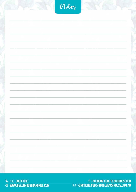| Notez |  |
|-------|--|
|       |  |
|       |  |
|       |  |
|       |  |
|       |  |
|       |  |
|       |  |
|       |  |
|       |  |
|       |  |
|       |  |
|       |  |
|       |  |
|       |  |
|       |  |

**+07 3003 0017 www.beachhousebargrill.com** +07 3420 0711 www.beachhousebargrill.com  $\leftrightarrow$  3420 www.beachhouse

**facebook.com/BeachHousecbd** facebook.com/BeachHouseGC **functions.cbd@hotelbeachhouse.com.au** functions.crn@hotelre facebook.com/BeachHouseGC functions.gc@hotelbeachhouse.com.au